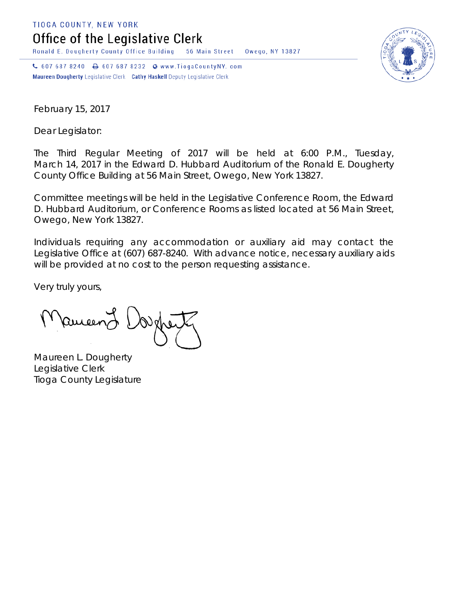TIOGA COUNTY, NEW YORK

Office of the Legislative Clerk

Ronald E. Dougherty County Office Building 56 Main Street Owego, NY 13827

↓ 607 687 8240 → 607 687 8232 → www.TiogaCountyNY.com Maureen Dougherty Legislative Clerk Cathy Haskell Deputy Legislative Clerk

February 15, 2017

Dear Legislator:

The Third Regular Meeting of 2017 will be held at 6:00 P.M., Tuesday, March 14, 2017 in the Edward D. Hubbard Auditorium of the Ronald E. Dougherty County Office Building at 56 Main Street, Owego, New York 13827.

Committee meetings will be held in the Legislative Conference Room, the Edward D. Hubbard Auditorium, or Conference Rooms as listed located at 56 Main Street, Owego, New York 13827.

Individuals requiring any accommodation or auxiliary aid may contact the Legislative Office at (607) 687-8240. With advance notice, necessary auxiliary aids will be provided at no cost to the person requesting assistance.

Very truly yours,

Pameen J

Maureen L. Dougherty Legislative Clerk Tioga County Legislature